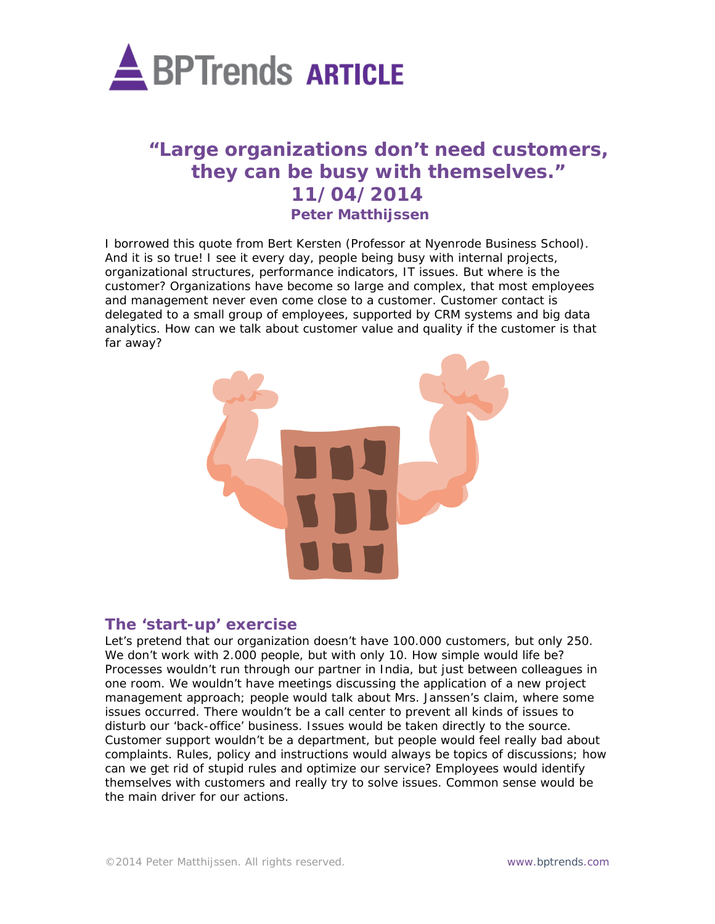

# **"Large organizations don't need customers, they can be busy with themselves." 11/04/2014 Peter Matthijssen**

I borrowed this quote from Bert Kersten (Professor at Nyenrode Business School). And it is so true! I see it every day, people being busy with internal projects, organizational structures, performance indicators, IT issues. But where is the customer? Organizations have become so large and complex, that most employees and management never even come close to a customer. Customer contact is delegated to a small group of employees, supported by CRM systems and big data analytics. How can we talk about customer value and quality if the customer is that far away?



## **The 'start-up' exercise**

Let's pretend that our organization doesn't have 100.000 customers, but only 250. We don't work with 2.000 people, but with only 10. How simple would life be? Processes wouldn't run through our partner in India, but just between colleagues in one room. We wouldn't have meetings discussing the application of a new project management approach; people would talk about Mrs. Janssen's claim, where some issues occurred. There wouldn't be a call center to prevent all kinds of issues to disturb our 'back-office' business. Issues would be taken directly to the source. Customer support wouldn't be a department, but people would feel really bad about complaints. Rules, policy and instructions would always be topics of discussions; how can we get rid of stupid rules and optimize our service? Employees would identify themselves with customers and really try to solve issues. Common sense would be the main driver for our actions.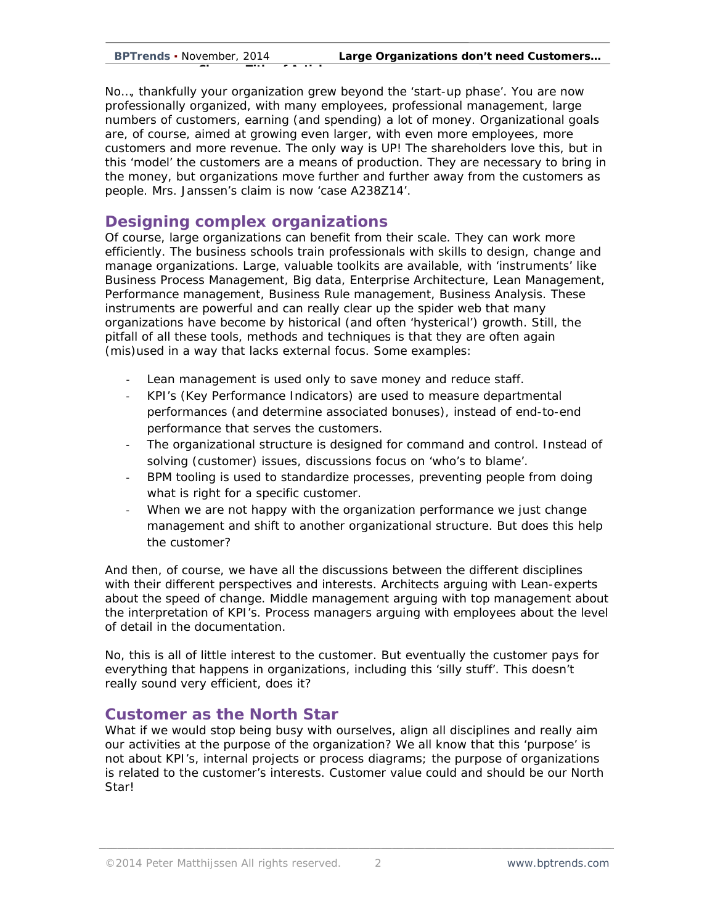No…, thankfully your organization grew beyond the 'start-up phase'. You are now professionally organized, with many employees, professional management, large numbers of customers, earning (and spending) a lot of money. Organizational goals are, of course, aimed at growing even larger, with even more employees, more customers and more revenue. The only way is UP! The shareholders love this, but in this 'model' the customers are a means of production. They are necessary to bring in the money, but organizations move further and further away from the customers as people. Mrs. Janssen's claim is now 'case A238Z14'.

## **Designing complex organizations**

**Ch Titl f A ti l**

Of course, large organizations can benefit from their scale. They can work more efficiently. The business schools train professionals with skills to design, change and manage organizations. Large, valuable toolkits are available, with 'instruments' like Business Process Management, Big data, Enterprise Architecture, Lean Management, Performance management, Business Rule management, Business Analysis. These instruments are powerful and can really clear up the spider web that many organizations have become by historical (and often 'hysterical') growth. Still, the pitfall of all these tools, methods and techniques is that they are often again (mis)used in a way that lacks external focus. Some examples:

- Lean management is used only to save money and reduce staff.
- KPI's (Key Performance Indicators) are used to measure departmental performances (and determine associated bonuses), instead of end-to-end performance that serves the customers.
- The organizational structure is designed for command and control. Instead of solving (customer) issues, discussions focus on 'who's to blame'.
- BPM tooling is used to standardize processes, preventing people from doing what is right for a specific customer.
- When we are not happy with the organization performance we just change management and shift to another organizational structure. But does this help the customer?

And then, of course, we have all the discussions between the different disciplines with their different perspectives and interests. Architects arguing with Lean-experts about the speed of change. Middle management arguing with top management about the interpretation of KPI's. Process managers arguing with employees about the level of detail in the documentation.

No, this is all of little interest to the customer. But eventually the customer pays for everything that happens in organizations, including this 'silly stuff'. This doesn't really sound very efficient, does it?

## **Customer as the North Star**

What if we would stop being busy with ourselves, align all disciplines and really aim our activities at the purpose of the organization? We all know that this 'purpose' is not about KPI's, internal projects or process diagrams; the purpose of organizations is related to the customer's interests. Customer value could and should be our North Star!